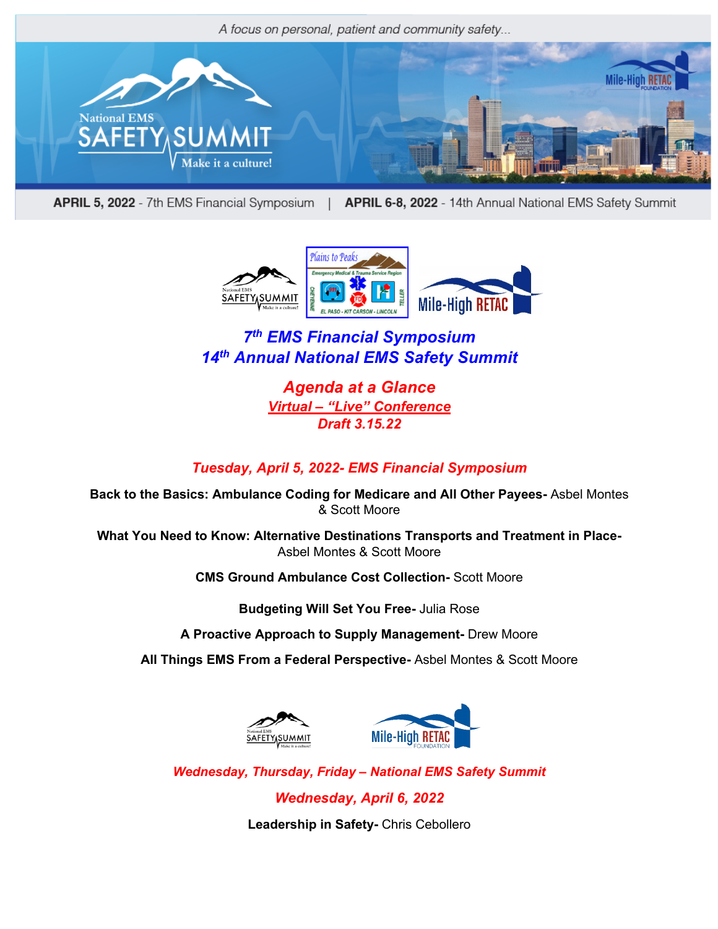A focus on personal, patient and community safety...



APRIL 5, 2022 - 7th EMS Financial Symposium | APRIL 6-8, 2022 - 14th Annual National EMS Safety Summit



# *7th EMS Financial Symposium 14th Annual National EMS Safety Summit*

*Agenda at a Glance Virtual – "Live" Conference Draft 3.15.22*

## *Tuesday, April 5, 2022- EMS Financial Symposium*

**Back to the Basics: Ambulance Coding for Medicare and All Other Payees-** Asbel Montes & Scott Moore

**What You Need to Know: Alternative Destinations Transports and Treatment in Place-**Asbel Montes & Scott Moore

**CMS Ground Ambulance Cost Collection-** Scott Moore

**Budgeting Will Set You Free-** Julia Rose

**A Proactive Approach to Supply Management-** Drew Moore

**All Things EMS From a Federal Perspective-** Asbel Montes & Scott Moore





*Wednesday, Thursday, Friday – National EMS Safety Summit*

*Wednesday, April 6, 2022*

**Leadership in Safety-** Chris Cebollero